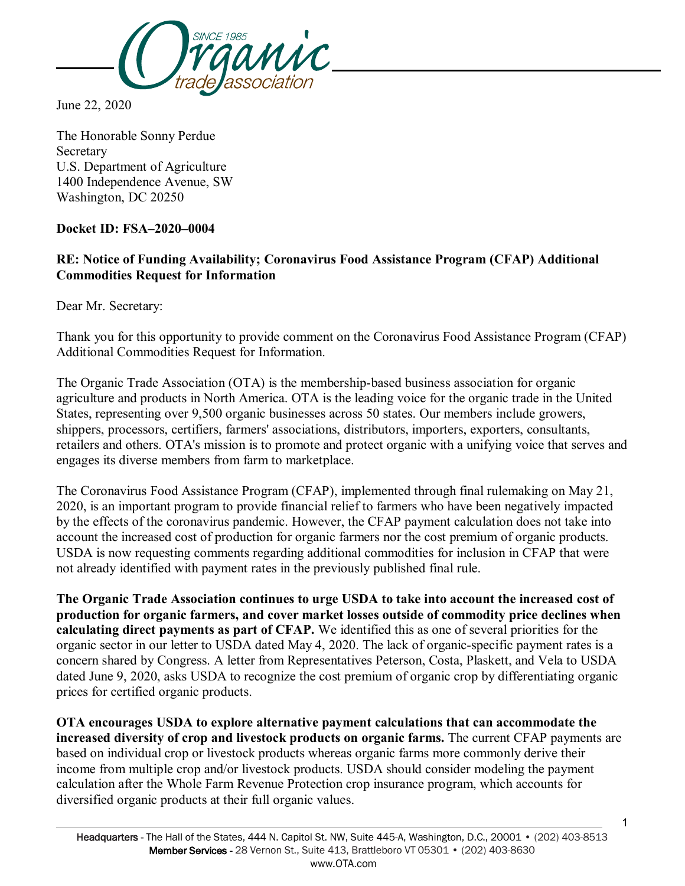

June 22, 2020

The Honorable Sonny Perdue Secretary U.S. Department of Agriculture 1400 Independence Avenue, SW Washington, DC 20250

## **Docket ID: FSA–2020–0004**

## **RE: Notice of Funding Availability; Coronavirus Food Assistance Program (CFAP) Additional Commodities Request for Information**

Dear Mr. Secretary:

Thank you for this opportunity to provide comment on the Coronavirus Food Assistance Program (CFAP) Additional Commodities Request for Information.

The Organic Trade Association (OTA) is the membership-based business association for organic agriculture and products in North America. OTA is the leading voice for the organic trade in the United States, representing over 9,500 organic businesses across 50 states. Our members include growers, shippers, processors, certifiers, farmers' associations, distributors, importers, exporters, consultants, retailers and others. OTA's mission is to promote and protect organic with a unifying voice that serves and engages its diverse members from farm to marketplace.

The Coronavirus Food Assistance Program (CFAP), implemented through final rulemaking on May 21, 2020, is an important program to provide financial relief to farmers who have been negatively impacted by the effects of the coronavirus pandemic. However, the CFAP payment calculation does not take into account the increased cost of production for organic farmers nor the cost premium of organic products. USDA is now requesting comments regarding additional commodities for inclusion in CFAP that were not already identified with payment rates in the previously published final rule.

**The Organic Trade Association continues to urge USDA to take into account the increased cost of production for organic farmers, and cover market losses outside of commodity price declines when calculating direct payments as part of CFAP.** We identified this as one of several priorities for the organic sector in our letter to USDA dated May 4, 2020. The lack of organic-specific payment rates is a concern shared by Congress. A letter from Representatives Peterson, Costa, Plaskett, and Vela to USDA dated June 9, 2020, asks USDA to recognize the cost premium of organic crop by differentiating organic prices for certified organic products.

**OTA encourages USDA to explore alternative payment calculations that can accommodate the increased diversity of crop and livestock products on organic farms.** The current CFAP payments are based on individual crop or livestock products whereas organic farms more commonly derive their income from multiple crop and/or livestock products. USDA should consider modeling the payment calculation after the Whole Farm Revenue Protection crop insurance program, which accounts for diversified organic products at their full organic values.

1